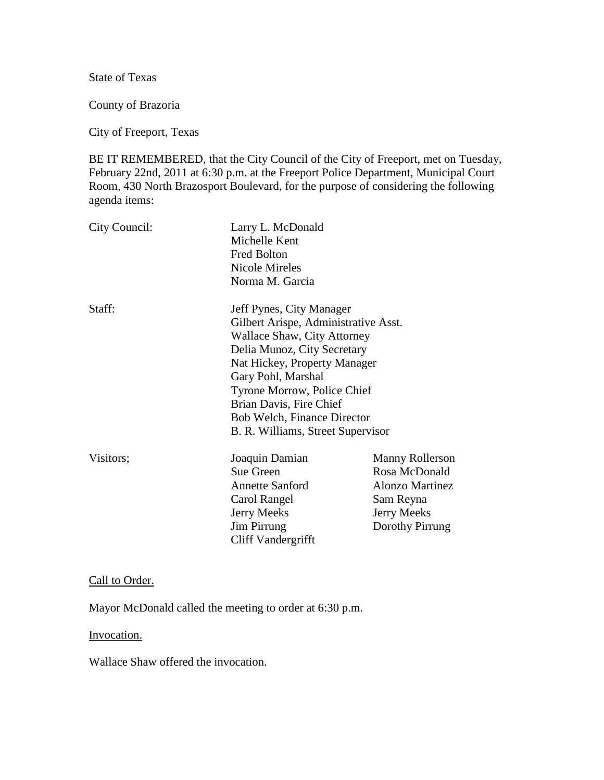State of Texas

County of Brazoria

City of Freeport, Texas

BE IT REMEMBERED, that the City Council of the City of Freeport, met on Tuesday, February 22nd, 2011 at 6:30 p.m. at the Freeport Police Department, Municipal Court Room, 430 North Brazosport Boulevard, for the purpose of considering the following agenda items:

| City Council: | Larry L. McDonald<br>Michelle Kent<br><b>Fred Bolton</b><br><b>Nicole Mireles</b><br>Norma M. Garcia                                                                                                                                                                                                               |                                                                                                                  |
|---------------|--------------------------------------------------------------------------------------------------------------------------------------------------------------------------------------------------------------------------------------------------------------------------------------------------------------------|------------------------------------------------------------------------------------------------------------------|
| Staff:        | Jeff Pynes, City Manager<br>Gilbert Arispe, Administrative Asst.<br>Wallace Shaw, City Attorney<br>Delia Munoz, City Secretary<br>Nat Hickey, Property Manager<br>Gary Pohl, Marshal<br>Tyrone Morrow, Police Chief<br>Brian Davis, Fire Chief<br>Bob Welch, Finance Director<br>B. R. Williams, Street Supervisor |                                                                                                                  |
| Visitors;     | Joaquin Damian<br>Sue Green<br><b>Annette Sanford</b><br>Carol Rangel<br><b>Jerry Meeks</b><br><b>Jim Pirrung</b><br>Cliff Vandergrifft                                                                                                                                                                            | Manny Rollerson<br>Rosa McDonald<br><b>Alonzo Martinez</b><br>Sam Reyna<br><b>Jerry Meeks</b><br>Dorothy Pirrung |

Call to Order.

Mayor McDonald called the meeting to order at 6:30 p.m.

Invocation.

Wallace Shaw offered the invocation.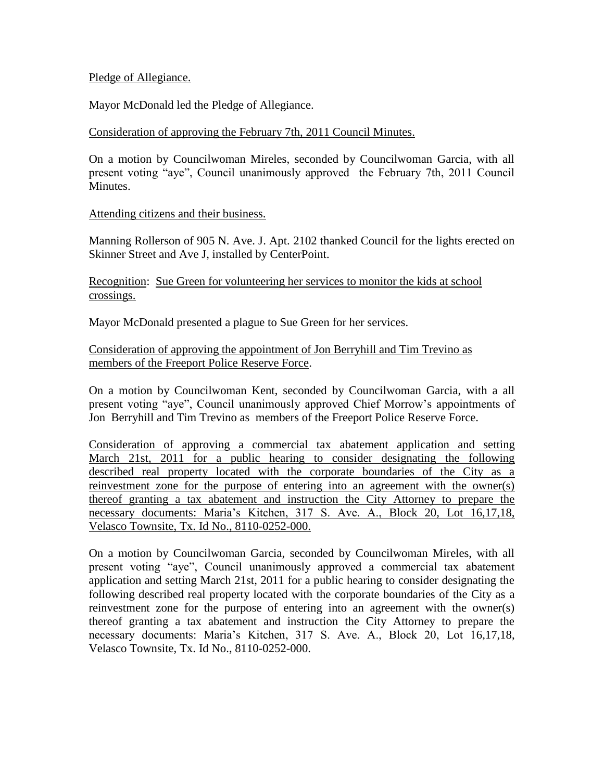### Pledge of Allegiance.

Mayor McDonald led the Pledge of Allegiance.

### Consideration of approving the February 7th, 2011 Council Minutes.

On a motion by Councilwoman Mireles, seconded by Councilwoman Garcia, with all present voting "aye", Council unanimously approved the February 7th, 2011 Council Minutes.

### Attending citizens and their business.

Manning Rollerson of 905 N. Ave. J. Apt. 2102 thanked Council for the lights erected on Skinner Street and Ave J, installed by CenterPoint.

Recognition: Sue Green for volunteering her services to monitor the kids at school crossings.

Mayor McDonald presented a plague to Sue Green for her services.

## Consideration of approving the appointment of Jon Berryhill and Tim Trevino as members of the Freeport Police Reserve Force.

On a motion by Councilwoman Kent, seconded by Councilwoman Garcia, with a all present voting "aye", Council unanimously approved Chief Morrow's appointments of Jon Berryhill and Tim Trevino as members of the Freeport Police Reserve Force.

Consideration of approving a commercial tax abatement application and setting March 21st, 2011 for a public hearing to consider designating the following described real property located with the corporate boundaries of the City as a reinvestment zone for the purpose of entering into an agreement with the owner(s) thereof granting a tax abatement and instruction the City Attorney to prepare the necessary documents: Maria's Kitchen, 317 S. Ave. A., Block 20, Lot 16,17,18, Velasco Townsite, Tx. Id No., 8110-0252-000.

On a motion by Councilwoman Garcia, seconded by Councilwoman Mireles, with all present voting "aye", Council unanimously approved a commercial tax abatement application and setting March 21st, 2011 for a public hearing to consider designating the following described real property located with the corporate boundaries of the City as a reinvestment zone for the purpose of entering into an agreement with the owner(s) thereof granting a tax abatement and instruction the City Attorney to prepare the necessary documents: Maria's Kitchen, 317 S. Ave. A., Block 20, Lot 16,17,18, Velasco Townsite, Tx. Id No., 8110-0252-000.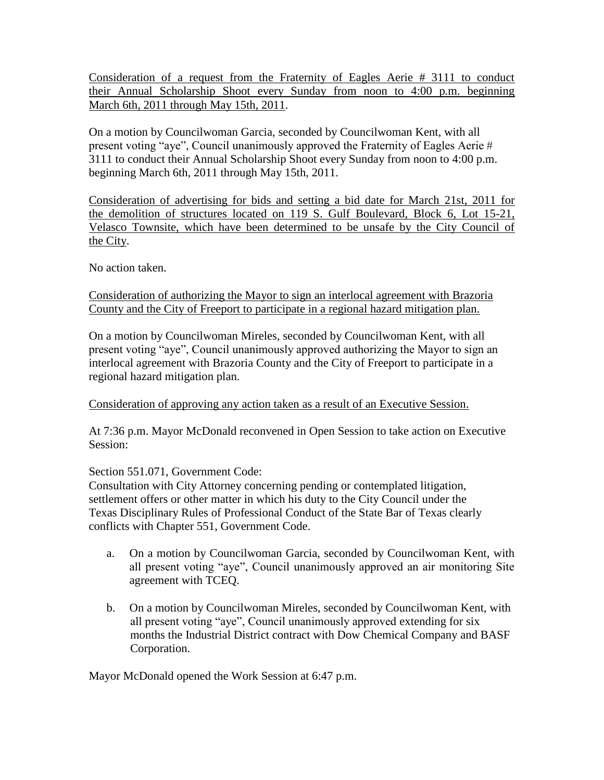Consideration of a request from the Fraternity of Eagles Aerie # 3111 to conduct their Annual Scholarship Shoot every Sunday from noon to 4:00 p.m. beginning March 6th, 2011 through May 15th, 2011.

On a motion by Councilwoman Garcia, seconded by Councilwoman Kent, with all present voting "aye", Council unanimously approved the Fraternity of Eagles Aerie # 3111 to conduct their Annual Scholarship Shoot every Sunday from noon to 4:00 p.m. beginning March 6th, 2011 through May 15th, 2011.

Consideration of advertising for bids and setting a bid date for March 21st, 2011 for the demolition of structures located on 119 S. Gulf Boulevard, Block 6, Lot 15-21, Velasco Townsite, which have been determined to be unsafe by the City Council of the City.

No action taken.

## Consideration of authorizing the Mayor to sign an interlocal agreement with Brazoria County and the City of Freeport to participate in a regional hazard mitigation plan.

On a motion by Councilwoman Mireles, seconded by Councilwoman Kent, with all present voting "aye", Council unanimously approved authorizing the Mayor to sign an interlocal agreement with Brazoria County and the City of Freeport to participate in a regional hazard mitigation plan.

# Consideration of approving any action taken as a result of an Executive Session.

At 7:36 p.m. Mayor McDonald reconvened in Open Session to take action on Executive Session:

# Section 551.071, Government Code:

Consultation with City Attorney concerning pending or contemplated litigation, settlement offers or other matter in which his duty to the City Council under the Texas Disciplinary Rules of Professional Conduct of the State Bar of Texas clearly conflicts with Chapter 551, Government Code.

- a. On a motion by Councilwoman Garcia, seconded by Councilwoman Kent, with all present voting "aye", Council unanimously approved an air monitoring Site agreement with TCEQ.
- b. On a motion by Councilwoman Mireles, seconded by Councilwoman Kent, with all present voting "aye", Council unanimously approved extending for six months the Industrial District contract with Dow Chemical Company and BASF Corporation.

Mayor McDonald opened the Work Session at 6:47 p.m.